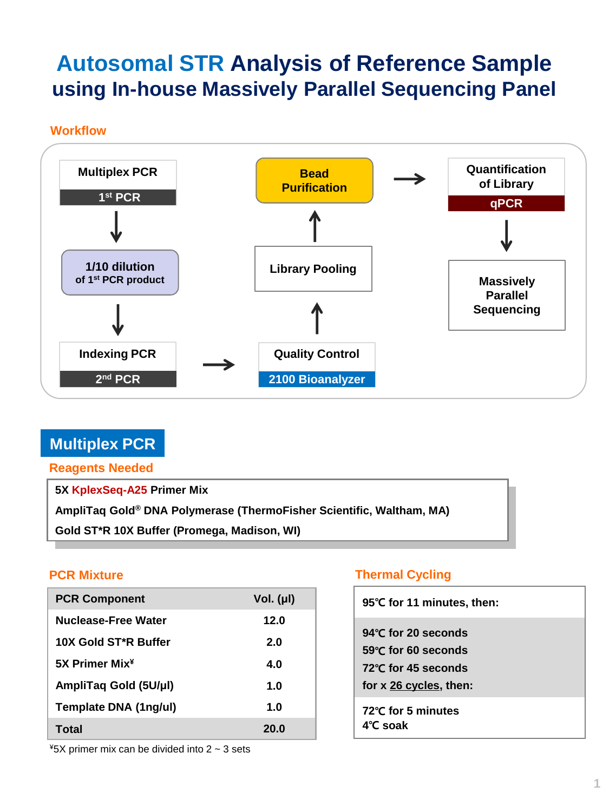# **Autosomal STR Analysis of Reference Sample using In-house Massively Parallel Sequencing Panel**

**Workflow**



# **Multiplex PCR**

### **Reagents Needed**

**5X KplexSeq-A25 Primer Mix**

**AmpliTaq Gold® DNA Polymerase (ThermoFisher Scientific, Waltham, MA)**

**PCR Mixture Thermal Cycling Gold ST\*R 10X Buffer (Promega, Madison, WI)**

| <b>PCR Component</b>       | Vol. (µl) |
|----------------------------|-----------|
| Nuclease-Free Water        | 12.0      |
| 10X Gold ST*R Buffer       | 2.0       |
| 5X Primer Mix <sup>¥</sup> | 4.0       |
| AmpliTaq Gold (5U/µl)      | 1.0       |
| Template DNA (1ng/ul)      | 1.0       |
| Total                      | 20.0      |

## **PCR Mixture Case Control Cycling Cycling**

| 95°C for 11 minutes, then:                                                                           |
|------------------------------------------------------------------------------------------------------|
| 94 $\degree$ C for 20 seconds<br>59℃ for 60 seconds<br>72°C for 45 seconds<br>for x 26 cycles, then: |
| 72℃ for 5 minutes<br>$4^\circ$ C soak                                                                |

 $*5X$  primer mix can be divided into 2  $\sim$  3 sets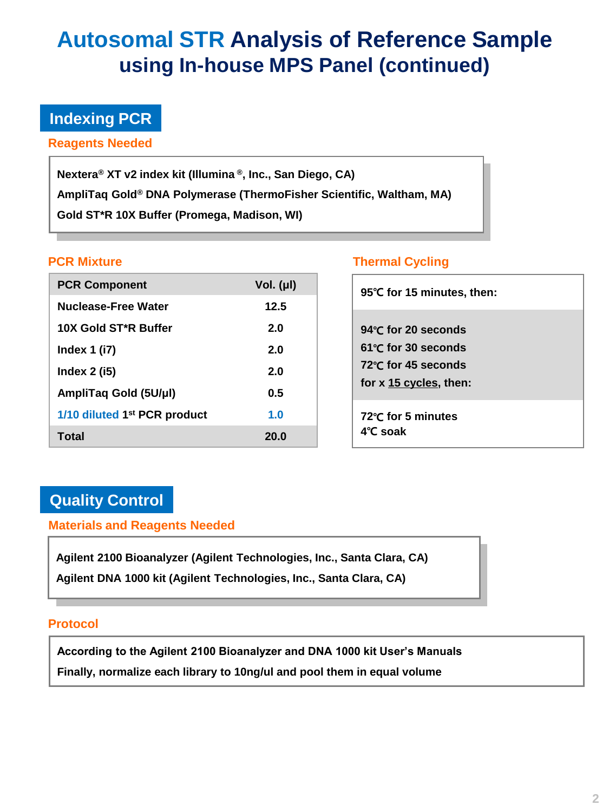# **Autosomal STR Analysis of Reference Sample using In-house MPS Panel (continued)**

# **Indexing PCR**

**Reagents Needed**

**Nextera® XT v2 index kit (Illumina ® , Inc., San Diego, CA) AmpliTaq Gold® DNA Polymerase (ThermoFisher Scientific, Waltham, MA) Gold ST\*R 10X Buffer (Promega, Madison, WI)**

| <b>PCR Component</b>                     | Vol. $(\mu I)$ |
|------------------------------------------|----------------|
| Nuclease-Free Water                      | 12.5           |
| 10X Gold ST*R Buffer                     | 2.0            |
| Index $1$ (i7)                           | 2.0            |
| Index $2$ (i5)                           | 2.0            |
| AmpliTaq Gold (5U/µl)                    | 0.5            |
| 1/10 diluted 1 <sup>st</sup> PCR product | 1.0            |
| Total                                    | 20.0           |

## **PCR Mixture Thermal Cycling**

| 95°C for 15 minutes, then:                                                                           |
|------------------------------------------------------------------------------------------------------|
| 94°C for 20 seconds<br>$61^{\circ}$ C for 30 seconds<br>72℃ for 45 seconds<br>for x 15 cycles, then: |
| 72℃ for 5 minutes<br>4°C soak                                                                        |

# **Quality Control**

**Materials and Reagents Needed**

**Agilent 2100 Bioanalyzer (Agilent Technologies, Inc., Santa Clara, CA) Agilent DNA 1000 kit (Agilent Technologies, Inc., Santa Clara, CA)**

### **Protocol**

**According to the Agilent 2100 Bioanalyzer and DNA 1000 kit User's Manuals Finally, normalize each library to 10ng/ul and pool them in equal volume**